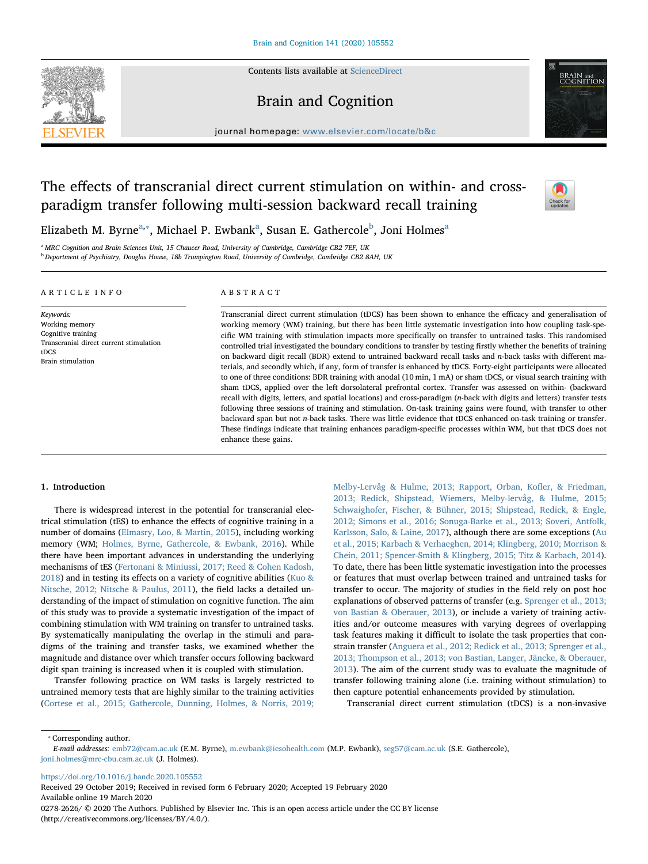Contents lists available at [ScienceDirect](http://www.sciencedirect.com/science/journal/02782626)

# Brain and Cognition

 $j$ ovate:  $\alpha$  homepage: [www.elsevier.com/locate/b&c](https://www.elsevier.com/locate/b&c)atee/b&catee/b&catee/b&catee/b&catee/b&catee/b&catee/b&catee/b&catee/b&catee/b&catee/b&catee/b&catee/b&catee/b&catee/b&catee/b&catee/b&catee/b&catee/b&catee/b&catee/b&ca

# The effects of transcranial direct current stimulation on within- and crossparadigm transfer following multi-session backward recall training

Elizabeth M. Byrne<sup>[a,](#page-0-0)</sup>\*, Mich[a](#page-0-0)el P. Ew[b](#page-0-2)ank<sup>a</sup>, Susan E. Gathercole<sup>b</sup>, Joni Holmes<sup>a</sup>

<span id="page-0-2"></span><span id="page-0-0"></span><sup>a</sup> MRC Cognition and Brain Sciences Unit, 15 Chaucer Road, University of Cambridge, Cambridge CB2 7EF, UK <sup>b</sup> Department of Psychiatry, Douglas House, 18b Trumpington Road, University of Cambridge, Cambridge CB2 8AH, UK

## ARTICLE INFO

Keywords: Working memory Cognitive training Transcranial direct current stimulation tDCS Brain stimulation

## ABSTRACT

Transcranial direct current stimulation (tDCS) has been shown to enhance the efficacy and generalisation of working memory (WM) training, but there has been little systematic investigation into how coupling task-specific WM training with stimulation impacts more specifically on transfer to untrained tasks. This randomised controlled trial investigated the boundary conditions to transfer by testing firstly whether the benefits of training on backward digit recall (BDR) extend to untrained backward recall tasks and n-back tasks with different materials, and secondly which, if any, form of transfer is enhanced by tDCS. Forty-eight participants were allocated to one of three conditions: BDR training with anodal (10 min, 1 mA) or sham tDCS, or visual search training with sham tDCS, applied over the left dorsolateral prefrontal cortex. Transfer was assessed on within- (backward recall with digits, letters, and spatial locations) and cross-paradigm (n-back with digits and letters) transfer tests following three sessions of training and stimulation. On-task training gains were found, with transfer to other backward span but not n-back tasks. There was little evidence that tDCS enhanced on-task training or transfer. These findings indicate that training enhances paradigm-specific processes within WM, but that tDCS does not enhance these gains.

## 1. Introduction

There is widespread interest in the potential for transcranial electrical stimulation (tES) to enhance the effects of cognitive training in a number of domains ([Elmasry, Loo, & Martin, 2015](#page-9-0)), including working memory (WM; [Holmes, Byrne, Gathercole, & Ewbank, 2016\)](#page-9-1). While there have been important advances in understanding the underlying mechanisms of tES ([Fertonani & Miniussi, 2017; Reed & Cohen Kadosh,](#page-9-2) [2018\)](#page-9-2) and in testing its effects on a variety of cognitive abilities ([Kuo &](#page-9-3) [Nitsche, 2012; Nitsche & Paulus, 2011\)](#page-9-3), the field lacks a detailed understanding of the impact of stimulation on cognitive function. The aim of this study was to provide a systematic investigation of the impact of combining stimulation with WM training on transfer to untrained tasks. By systematically manipulating the overlap in the stimuli and paradigms of the training and transfer tasks, we examined whether the magnitude and distance over which transfer occurs following backward digit span training is increased when it is coupled with stimulation.

Transfer following practice on WM tasks is largely restricted to untrained memory tests that are highly similar to the training activities ([Cortese et al., 2015; Gathercole, Dunning, Holmes, & Norris, 2019;](#page-9-4)

[Melby-Lervåg & Hulme, 2013; Rapport, Orban, Ko](#page-9-4)fler, & Friedman, [2013; Redick, Shipstead, Wiemers, Melby-lervåg, & Hulme, 2015;](#page-9-4) [Schwaighofer, Fischer, & Bühner, 2015; Shipstead, Redick, & Engle,](#page-9-4) [2012; Simons et al., 2016; Sonuga-Barke et al., 2013; Soveri, Antfolk,](#page-9-4) [Karlsson, Salo, & Laine, 2017\)](#page-9-4), although there are some exceptions ([Au](#page-9-5) [et al., 2015; Karbach & Verhaeghen, 2014; Klingberg, 2010; Morrison &](#page-9-5) [Chein, 2011; Spencer-Smith & Klingberg, 2015; Titz & Karbach, 2014](#page-9-5)). To date, there has been little systematic investigation into the processes or features that must overlap between trained and untrained tasks for transfer to occur. The majority of studies in the field rely on post hoc explanations of observed patterns of transfer (e.g. [Sprenger et al., 2013;](#page-10-0) [von Bastian & Oberauer, 2013\)](#page-10-0), or include a variety of training activities and/or outcome measures with varying degrees of overlapping task features making it difficult to isolate the task properties that constrain transfer ([Anguera et al., 2012; Redick et al., 2013; Sprenger et al.,](#page-8-0) [2013; Thompson et al., 2013; von Bastian, Langer, Jäncke, & Oberauer,](#page-8-0) [2013\)](#page-8-0). The aim of the current study was to evaluate the magnitude of transfer following training alone (i.e. training without stimulation) to then capture potential enhancements provided by stimulation.

Transcranial direct current stimulation (tDCS) is a non-invasive

<span id="page-0-1"></span>⁎ Corresponding author.

E-mail addresses: [emb72@cam.ac.uk](mailto:emb72@cam.ac.uk) (E.M. Byrne), [m.ewbank@iesohealth.com](mailto:m.ewbank@iesohealth.com) (M.P. Ewbank), [seg57@cam.ac.uk](mailto:seg57@cam.ac.uk) (S.E. Gathercole), [joni.holmes@mrc-cbu.cam.ac.uk](mailto:joni.holmes@mrc-cbu.cam.ac.uk) (J. Holmes).

<https://doi.org/10.1016/j.bandc.2020.105552>

Received 29 October 2019; Received in revised form 6 February 2020; Accepted 19 February 2020 Available online 19 March 2020 0278-2626/ © 2020 The Authors. Published by Elsevier Inc. This is an open access article under the CC BY license (http://creativecommons.org/licenses/BY/4.0/).





 $\frac{N}{2}$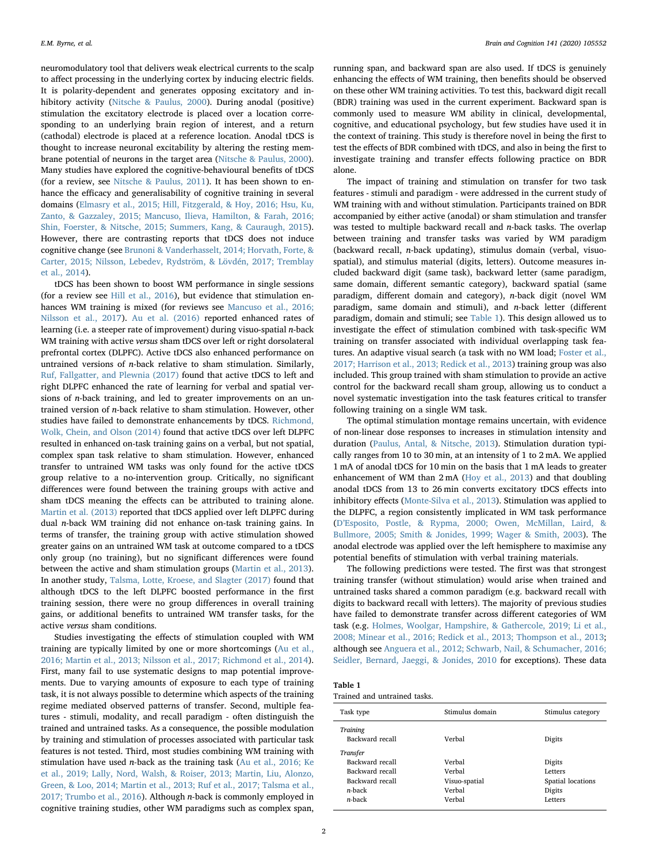neuromodulatory tool that delivers weak electrical currents to the scalp to affect processing in the underlying cortex by inducing electric fields. It is polarity-dependent and generates opposing excitatory and inhibitory activity [\(Nitsche & Paulus, 2000\)](#page-9-6). During anodal (positive) stimulation the excitatory electrode is placed over a location corresponding to an underlying brain region of interest, and a return (cathodal) electrode is placed at a reference location. Anodal tDCS is thought to increase neuronal excitability by altering the resting membrane potential of neurons in the target area ([Nitsche & Paulus, 2000](#page-9-6)). Many studies have explored the cognitive-behavioural benefits of tDCS (for a review, see [Nitsche & Paulus, 2011](#page-10-1)). It has been shown to enhance the efficacy and generalisability of cognitive training in several domains [\(Elmasry et al., 2015; Hill, Fitzgerald, & Hoy, 2016; Hsu, Ku,](#page-9-0) [Zanto, & Gazzaley, 2015; Mancuso, Ilieva, Hamilton, & Farah, 2016;](#page-9-0) [Shin, Foerster, & Nitsche, 2015; Summers, Kang, & Cauraugh, 2015](#page-9-0)). However, there are contrasting reports that tDCS does not induce cognitive change (see [Brunoni & Vanderhasselt, 2014; Horvath, Forte, &](#page-9-7) [Carter, 2015; Nilsson, Lebedev, Rydström, & Lövdén, 2017; Tremblay](#page-9-7) [et al., 2014](#page-9-7)).

tDCS has been shown to boost WM performance in single sessions (for a review see [Hill et al., 2016\)](#page-9-8), but evidence that stimulation enhances WM training is mixed (for reviews see [Mancuso et al., 2016;](#page-9-9) [Nilsson et al., 2017\)](#page-9-9). [Au et al. \(2016\)](#page-8-1) reported enhanced rates of learning (i.e. a steeper rate of improvement) during visuo-spatial n-back WM training with active versus sham tDCS over left or right dorsolateral prefrontal cortex (DLPFC). Active tDCS also enhanced performance on untrained versions of n-back relative to sham stimulation. Similarly, [Ruf, Fallgatter, and Plewnia \(2017\)](#page-10-2) found that active tDCS to left and right DLPFC enhanced the rate of learning for verbal and spatial versions of n-back training, and led to greater improvements on an untrained version of n-back relative to sham stimulation. However, other studies have failed to demonstrate enhancements by tDCS. [Richmond,](#page-10-3) [Wolk, Chein, and Olson \(2014\)](#page-10-3) found that active tDCS over left DLPFC resulted in enhanced on-task training gains on a verbal, but not spatial, complex span task relative to sham stimulation. However, enhanced transfer to untrained WM tasks was only found for the active tDCS group relative to a no-intervention group. Critically, no significant differences were found between the training groups with active and sham tDCS meaning the effects can be attributed to training alone. [Martin et al. \(2013\)](#page-9-10) reported that tDCS applied over left DLPFC during dual n-back WM training did not enhance on-task training gains. In terms of transfer, the training group with active stimulation showed greater gains on an untrained WM task at outcome compared to a tDCS only group (no training), but no significant differences were found between the active and sham stimulation groups [\(Martin et al., 2013](#page-9-10)). In another study, [Talsma, Lotte, Kroese, and Slagter \(2017\)](#page-10-4) found that although tDCS to the left DLPFC boosted performance in the first training session, there were no group differences in overall training gains, or additional benefits to untrained WM transfer tasks, for the active versus sham conditions.

Studies investigating the effects of stimulation coupled with WM training are typically limited by one or more shortcomings [\(Au et al.,](#page-8-1) [2016; Martin et al., 2013; Nilsson et al., 2017; Richmond et al., 2014](#page-8-1)). First, many fail to use systematic designs to map potential improvements. Due to varying amounts of exposure to each type of training task, it is not always possible to determine which aspects of the training regime mediated observed patterns of transfer. Second, multiple features - stimuli, modality, and recall paradigm - often distinguish the trained and untrained tasks. As a consequence, the possible modulation by training and stimulation of processes associated with particular task features is not tested. Third, most studies combining WM training with stimulation have used *n*-back as the training task [\(Au et al., 2016; Ke](#page-8-1) [et al., 2019; Lally, Nord, Walsh, & Roiser, 2013; Martin, Liu, Alonzo,](#page-8-1) [Green, & Loo, 2014; Martin et al., 2013; Ruf et al., 2017; Talsma et al.,](#page-8-1) [2017; Trumbo et al., 2016](#page-8-1)). Although n-back is commonly employed in cognitive training studies, other WM paradigms such as complex span,

running span, and backward span are also used. If tDCS is genuinely enhancing the effects of WM training, then benefits should be observed on these other WM training activities. To test this, backward digit recall (BDR) training was used in the current experiment. Backward span is commonly used to measure WM ability in clinical, developmental, cognitive, and educational psychology, but few studies have used it in the context of training. This study is therefore novel in being the first to test the effects of BDR combined with tDCS, and also in being the first to investigate training and transfer effects following practice on BDR alone.

The impact of training and stimulation on transfer for two task features - stimuli and paradigm - were addressed in the current study of WM training with and without stimulation. Participants trained on BDR accompanied by either active (anodal) or sham stimulation and transfer was tested to multiple backward recall and n-back tasks. The overlap between training and transfer tasks was varied by WM paradigm (backward recall, n-back updating), stimulus domain (verbal, visuospatial), and stimulus material (digits, letters). Outcome measures included backward digit (same task), backward letter (same paradigm, same domain, different semantic category), backward spatial (same paradigm, different domain and category), n-back digit (novel WM paradigm, same domain and stimuli), and  $n$ -back letter (different paradigm, domain and stimuli; see [Table 1](#page-1-0)). This design allowed us to investigate the effect of stimulation combined with task-specific WM training on transfer associated with individual overlapping task features. An adaptive visual search (a task with no WM load; [Foster et al.,](#page-9-11) [2017; Harrison et al., 2013; Redick et al., 2013\)](#page-9-11) training group was also included. This group trained with sham stimulation to provide an active control for the backward recall sham group, allowing us to conduct a novel systematic investigation into the task features critical to transfer following training on a single WM task.

The optimal stimulation montage remains uncertain, with evidence of non-linear dose responses to increases in stimulation intensity and duration [\(Paulus, Antal, & Nitsche, 2013](#page-10-5)). Stimulation duration typically ranges from 10 to 30 min, at an intensity of 1 to 2 mA. We applied 1 mA of anodal tDCS for 10 min on the basis that 1 mA leads to greater enhancement of WM than 2 mA ([Hoy et al., 2013\)](#page-9-12) and that doubling anodal tDCS from 13 to 26 min converts excitatory tDCS effects into inhibitory effects ([Monte-Silva et al., 2013\)](#page-9-13). Stimulation was applied to the DLPFC, a region consistently implicated in WM task performance (D'[Esposito, Postle, & Rypma, 2000; Owen, McMillan, Laird, &](#page-9-14) [Bullmore, 2005; Smith & Jonides, 1999; Wager & Smith, 2003\)](#page-9-14). The anodal electrode was applied over the left hemisphere to maximise any potential benefits of stimulation with verbal training materials.

The following predictions were tested. The first was that strongest training transfer (without stimulation) would arise when trained and untrained tasks shared a common paradigm (e.g. backward recall with digits to backward recall with letters). The majority of previous studies have failed to demonstrate transfer across different categories of WM task (e.g. [Holmes, Woolgar, Hampshire, & Gathercole, 2019; Li et al.,](#page-9-15) [2008; Minear et al., 2016; Redick et al., 2013; Thompson et al., 2013](#page-9-15); although see [Anguera et al., 2012; Schwarb, Nail, & Schumacher, 2016;](#page-8-0) [Seidler, Bernard, Jaeggi, & Jonides, 2010](#page-8-0) for exceptions). These data

<span id="page-1-0"></span>

| Table 1 |                           |
|---------|---------------------------|
|         | massive discontinuation d |

|--|

| Task type       | Stimulus domain | Stimulus category |
|-----------------|-----------------|-------------------|
| <b>Training</b> |                 |                   |
| Backward recall | Verhal          | Digits            |
| Transfer        |                 |                   |
| Backward recall | Verbal          | Digits            |
| Backward recall | Verbal          | Letters           |
| Backward recall | Visuo-spatial   | Spatial locations |
| $n$ -back       | Verhal          | Digits            |
| $n$ -back       | Verbal          | Letters           |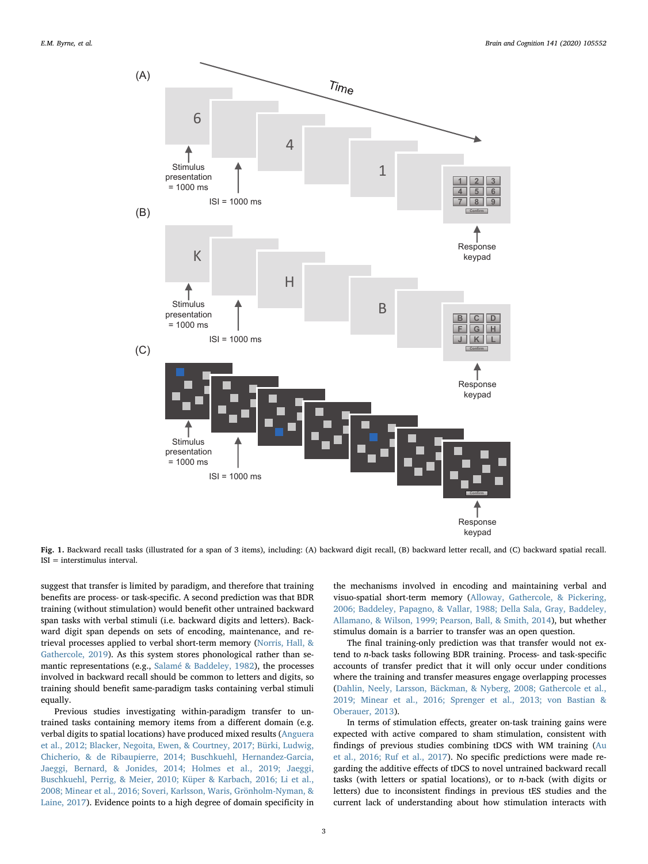<span id="page-2-0"></span>

Fig. 1. Backward recall tasks (illustrated for a span of 3 items), including: (A) backward digit recall, (B) backward letter recall, and (C) backward spatial recall. ISI = interstimulus interval.

suggest that transfer is limited by paradigm, and therefore that training benefits are process- or task-specific. A second prediction was that BDR training (without stimulation) would benefit other untrained backward span tasks with verbal stimuli (i.e. backward digits and letters). Backward digit span depends on sets of encoding, maintenance, and retrieval processes applied to verbal short-term memory ([Norris, Hall, &](#page-10-6) [Gathercole, 2019](#page-10-6)). As this system stores phonological rather than semantic representations (e.g., [Salamé & Baddeley, 1982\)](#page-10-7), the processes involved in backward recall should be common to letters and digits, so training should benefit same-paradigm tasks containing verbal stimuli equally.

Previous studies investigating within-paradigm transfer to untrained tasks containing memory items from a different domain (e.g. verbal digits to spatial locations) have produced mixed results ([Anguera](#page-8-0) [et al., 2012; Blacker, Negoita, Ewen, & Courtney, 2017; Bürki, Ludwig,](#page-8-0) [Chicherio, & de Ribaupierre, 2014; Buschkuehl, Hernandez-Garcia,](#page-8-0) [Jaeggi, Bernard, & Jonides, 2014; Holmes et al., 2019; Jaeggi,](#page-8-0) [Buschkuehl, Perrig, & Meier, 2010; Küper & Karbach, 2016; Li et al.,](#page-8-0) [2008; Minear et al., 2016; Soveri, Karlsson, Waris, Grönholm-Nyman, &](#page-8-0) [Laine, 2017](#page-8-0)). Evidence points to a high degree of domain specificity in the mechanisms involved in encoding and maintaining verbal and visuo-spatial short-term memory ([Alloway, Gathercole, & Pickering,](#page-8-2) [2006; Baddeley, Papagno, & Vallar, 1988; Della Sala, Gray, Baddeley,](#page-8-2) [Allamano, & Wilson, 1999; Pearson, Ball, & Smith, 2014\)](#page-8-2), but whether stimulus domain is a barrier to transfer was an open question.

The final training-only prediction was that transfer would not extend to n-back tasks following BDR training. Process- and task-specific accounts of transfer predict that it will only occur under conditions where the training and transfer measures engage overlapping processes ([Dahlin, Neely, Larsson, Bäckman, & Nyberg, 2008; Gathercole et al.,](#page-9-16) [2019; Minear et al., 2016; Sprenger et al., 2013; von Bastian &](#page-9-16) [Oberauer, 2013](#page-9-16)).

In terms of stimulation effects, greater on-task training gains were expected with active compared to sham stimulation, consistent with findings of previous studies combining tDCS with WM training ([Au](#page-8-1) [et al., 2016; Ruf et al., 2017](#page-8-1)). No specific predictions were made regarding the additive effects of tDCS to novel untrained backward recall tasks (with letters or spatial locations), or to n-back (with digits or letters) due to inconsistent findings in previous tES studies and the current lack of understanding about how stimulation interacts with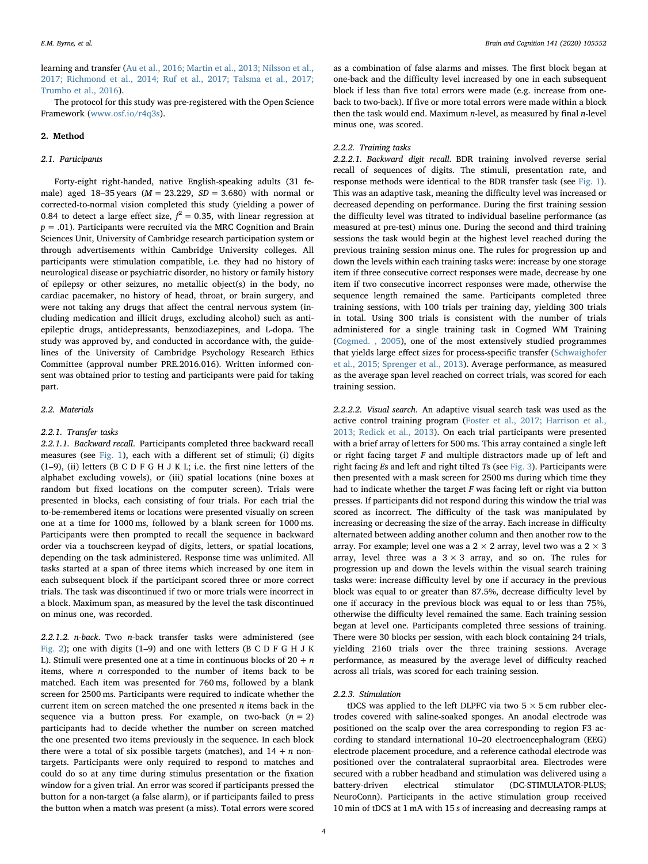learning and transfer [\(Au et al., 2016; Martin et al., 2013; Nilsson et al.,](#page-8-1) [2017; Richmond et al., 2014; Ruf et al., 2017; Talsma et al., 2017;](#page-8-1) [Trumbo et al., 2016\)](#page-8-1).

The protocol for this study was pre-registered with the Open Science Framework [\(www.osf.io/r4q3s\)](http://www.osf.io/r4q3s).

## 2. Method

## 2.1. Participants

Forty-eight right-handed, native English-speaking adults (31 female) aged 18–35 years  $(M = 23.229, SD = 3.680)$  with normal or corrected-to-normal vision completed this study (yielding a power of 0.84 to detect a large effect size,  $f^2 = 0.35$ , with linear regression at  $p = .01$ ). Participants were recruited via the MRC Cognition and Brain Sciences Unit, University of Cambridge research participation system or through advertisements within Cambridge University colleges. All participants were stimulation compatible, i.e. they had no history of neurological disease or psychiatric disorder, no history or family history of epilepsy or other seizures, no metallic object(s) in the body, no cardiac pacemaker, no history of head, throat, or brain surgery, and were not taking any drugs that affect the central nervous system (including medication and illicit drugs, excluding alcohol) such as antiepileptic drugs, antidepressants, benzodiazepines, and L-dopa. The study was approved by, and conducted in accordance with, the guidelines of the University of Cambridge Psychology Research Ethics Committee (approval number PRE.2016.016). Written informed consent was obtained prior to testing and participants were paid for taking part.

## 2.2. Materials

## 2.2.1. Transfer tasks

2.2.1.1. Backward recall. Participants completed three backward recall measures (see [Fig. 1\)](#page-2-0), each with a different set of stimuli; (i) digits (1–9), (ii) letters (B C D F G H J K L; i.e. the first nine letters of the alphabet excluding vowels), or (iii) spatial locations (nine boxes at random but fixed locations on the computer screen). Trials were presented in blocks, each consisting of four trials. For each trial the to-be-remembered items or locations were presented visually on screen one at a time for 1000 ms, followed by a blank screen for 1000 ms. Participants were then prompted to recall the sequence in backward order via a touchscreen keypad of digits, letters, or spatial locations, depending on the task administered. Response time was unlimited. All tasks started at a span of three items which increased by one item in each subsequent block if the participant scored three or more correct trials. The task was discontinued if two or more trials were incorrect in a block. Maximum span, as measured by the level the task discontinued on minus one, was recorded.

2.2.1.2. n-back. Two n-back transfer tasks were administered (see [Fig. 2](#page-4-0)); one with digits (1–9) and one with letters (B C D F G H J K L). Stimuli were presented one at a time in continuous blocks of  $20 + n$ items, where  $n$  corresponded to the number of items back to be matched. Each item was presented for 760 ms, followed by a blank screen for 2500 ms. Participants were required to indicate whether the current item on screen matched the one presented  $n$  items back in the sequence via a button press. For example, on two-back  $(n = 2)$ participants had to decide whether the number on screen matched the one presented two items previously in the sequence. In each block there were a total of six possible targets (matches), and  $14 + n$  nontargets. Participants were only required to respond to matches and could do so at any time during stimulus presentation or the fixation window for a given trial. An error was scored if participants pressed the button for a non-target (a false alarm), or if participants failed to press the button when a match was present (a miss). Total errors were scored as a combination of false alarms and misses. The first block began at one-back and the difficulty level increased by one in each subsequent block if less than five total errors were made (e.g. increase from oneback to two-back). If five or more total errors were made within a block then the task would end. Maximum  $n$ -level, as measured by final  $n$ -level minus one, was scored.

## 2.2.2. Training tasks

2.2.2.1. Backward digit recall. BDR training involved reverse serial recall of sequences of digits. The stimuli, presentation rate, and response methods were identical to the BDR transfer task (see [Fig. 1](#page-2-0)). This was an adaptive task, meaning the difficulty level was increased or decreased depending on performance. During the first training session the difficulty level was titrated to individual baseline performance (as measured at pre-test) minus one. During the second and third training sessions the task would begin at the highest level reached during the previous training session minus one. The rules for progression up and down the levels within each training tasks were: increase by one storage item if three consecutive correct responses were made, decrease by one item if two consecutive incorrect responses were made, otherwise the sequence length remained the same. Participants completed three training sessions, with 100 trials per training day, yielding 300 trials in total. Using 300 trials is consistent with the number of trials administered for a single training task in Cogmed WM Training ([Cogmed. , 2005](#page-9-17)), one of the most extensively studied programmes that yields large effect sizes for process-specific transfer ([Schwaighofer](#page-10-8) [et al., 2015; Sprenger et al., 2013\)](#page-10-8). Average performance, as measured as the average span level reached on correct trials, was scored for each training session.

2.2.2.2. Visual search. An adaptive visual search task was used as the active control training program [\(Foster et al., 2017; Harrison et al.,](#page-9-11) [2013; Redick et al., 2013\)](#page-9-11). On each trial participants were presented with a brief array of letters for 500 ms. This array contained a single left or right facing target  $F$  and multiple distractors made up of left and right facing Es and left and right tilted Ts (see [Fig. 3](#page-4-1)). Participants were then presented with a mask screen for 2500 ms during which time they had to indicate whether the target  $F$  was facing left or right via button presses. If participants did not respond during this window the trial was scored as incorrect. The difficulty of the task was manipulated by increasing or decreasing the size of the array. Each increase in difficulty alternated between adding another column and then another row to the array. For example; level one was a  $2 \times 2$  array, level two was a  $2 \times 3$ array, level three was a  $3 \times 3$  array, and so on. The rules for progression up and down the levels within the visual search training tasks were: increase difficulty level by one if accuracy in the previous block was equal to or greater than 87.5%, decrease difficulty level by one if accuracy in the previous block was equal to or less than 75%, otherwise the difficulty level remained the same. Each training session began at level one. Participants completed three sessions of training. There were 30 blocks per session, with each block containing 24 trials, yielding 2160 trials over the three training sessions. Average performance, as measured by the average level of difficulty reached across all trials, was scored for each training session.

### 2.2.3. Stimulation

tDCS was applied to the left DLPFC via two  $5 \times 5$  cm rubber electrodes covered with saline-soaked sponges. An anodal electrode was positioned on the scalp over the area corresponding to region F3 according to standard international 10–20 electroencephalogram (EEG) electrode placement procedure, and a reference cathodal electrode was positioned over the contralateral supraorbital area. Electrodes were secured with a rubber headband and stimulation was delivered using a battery-driven electrical stimulator (DC-STIMULATOR-PLUS; NeuroConn). Participants in the active stimulation group received 10 min of tDCS at 1 mA with 15 s of increasing and decreasing ramps at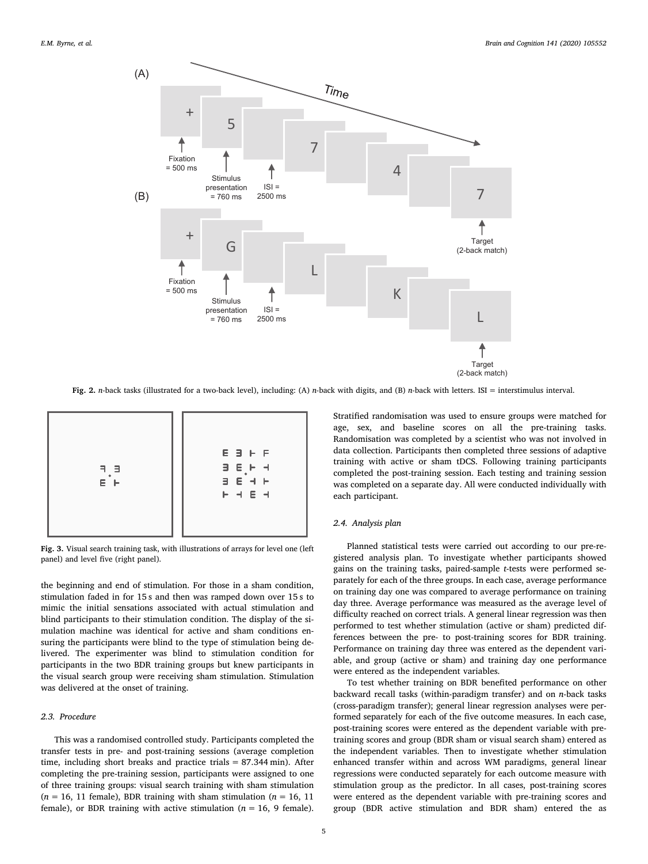<span id="page-4-0"></span>

Fig. 2. n-back tasks (illustrated for a two-back level), including: (A) n-back with digits, and (B) n-back with letters. ISI = interstimulus interval.

<span id="page-4-1"></span>

Fig. 3. Visual search training task, with illustrations of arrays for level one (left panel) and level five (right panel).

the beginning and end of stimulation. For those in a sham condition, stimulation faded in for 15 s and then was ramped down over 15 s to mimic the initial sensations associated with actual stimulation and blind participants to their stimulation condition. The display of the simulation machine was identical for active and sham conditions ensuring the participants were blind to the type of stimulation being delivered. The experimenter was blind to stimulation condition for participants in the two BDR training groups but knew participants in the visual search group were receiving sham stimulation. Stimulation was delivered at the onset of training.

## 2.3. Procedure

This was a randomised controlled study. Participants completed the transfer tests in pre- and post-training sessions (average completion time, including short breaks and practice trials = 87.344 min). After completing the pre-training session, participants were assigned to one of three training groups: visual search training with sham stimulation  $(n = 16, 11$  female), BDR training with sham stimulation  $(n = 16, 11)$ female), or BDR training with active stimulation ( $n = 16$ , 9 female).

Stratified randomisation was used to ensure groups were matched for age, sex, and baseline scores on all the pre-training tasks. Randomisation was completed by a scientist who was not involved in data collection. Participants then completed three sessions of adaptive training with active or sham tDCS. Following training participants completed the post-training session. Each testing and training session was completed on a separate day. All were conducted individually with each participant.

### 2.4. Analysis plan

Planned statistical tests were carried out according to our pre-registered analysis plan. To investigate whether participants showed gains on the training tasks, paired-sample t-tests were performed separately for each of the three groups. In each case, average performance on training day one was compared to average performance on training day three. Average performance was measured as the average level of difficulty reached on correct trials. A general linear regression was then performed to test whether stimulation (active or sham) predicted differences between the pre- to post-training scores for BDR training. Performance on training day three was entered as the dependent variable, and group (active or sham) and training day one performance were entered as the independent variables.

To test whether training on BDR benefited performance on other backward recall tasks (within-paradigm transfer) and on n-back tasks (cross-paradigm transfer); general linear regression analyses were performed separately for each of the five outcome measures. In each case, post-training scores were entered as the dependent variable with pretraining scores and group (BDR sham or visual search sham) entered as the independent variables. Then to investigate whether stimulation enhanced transfer within and across WM paradigms, general linear regressions were conducted separately for each outcome measure with stimulation group as the predictor. In all cases, post-training scores were entered as the dependent variable with pre-training scores and group (BDR active stimulation and BDR sham) entered the as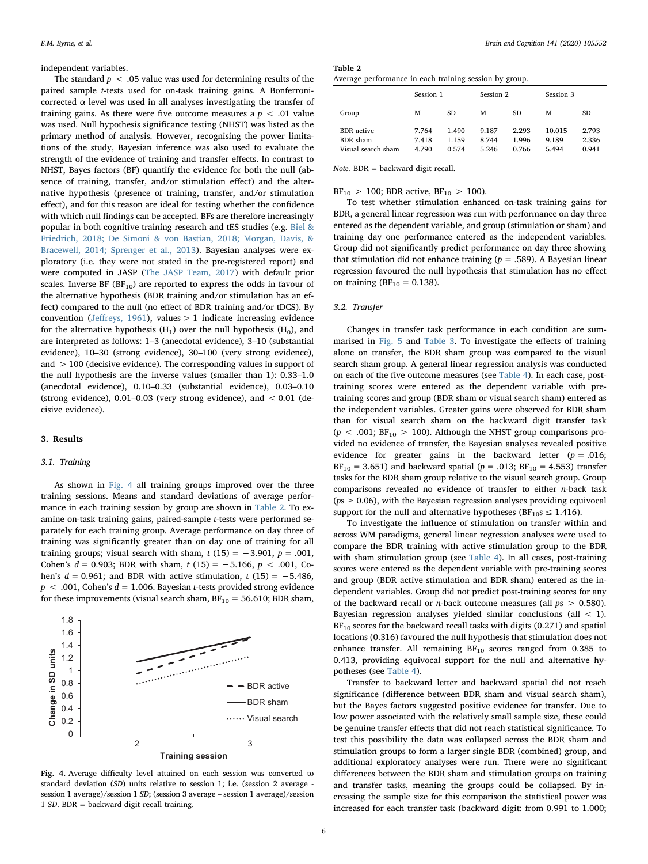independent variables.

The standard  $p < .05$  value was used for determining results of the paired sample t-tests used for on-task training gains. A Bonferronicorrected  $\alpha$  level was used in all analyses investigating the transfer of training gains. As there were five outcome measures a  $p < .01$  value was used. Null hypothesis significance testing (NHST) was listed as the primary method of analysis. However, recognising the power limitations of the study, Bayesian inference was also used to evaluate the strength of the evidence of training and transfer effects. In contrast to NHST, Bayes factors (BF) quantify the evidence for both the null (absence of training, transfer, and/or stimulation effect) and the alternative hypothesis (presence of training, transfer, and/or stimulation effect), and for this reason are ideal for testing whether the confidence with which null findings can be accepted. BFs are therefore increasingly popular in both cognitive training research and tES studies (e.g. [Biel &](#page-9-18) [Friedrich, 2018; De Simoni & von Bastian, 2018; Morgan, Davis, &](#page-9-18) [Bracewell, 2014; Sprenger et al., 2013](#page-9-18)). Bayesian analyses were exploratory (i.e. they were not stated in the pre-registered report) and were computed in JASP [\(The JASP Team, 2017\)](#page-10-9) with default prior scales. Inverse BF  $(BF_{10})$  are reported to express the odds in favour of the alternative hypothesis (BDR training and/or stimulation has an effect) compared to the null (no effect of BDR training and/or tDCS). By convention (Jeff[reys, 1961\)](#page-9-19), values  $> 1$  indicate increasing evidence for the alternative hypothesis  $(H_1)$  over the null hypothesis  $(H_0)$ , and are interpreted as follows: 1–3 (anecdotal evidence), 3–10 (substantial evidence), 10–30 (strong evidence), 30–100 (very strong evidence), and > 100 (decisive evidence). The corresponding values in support of the null hypothesis are the inverse values (smaller than 1): 0.33–1.0 (anecdotal evidence), 0.10–0.33 (substantial evidence), 0.03–0.10 (strong evidence), 0.01–0.03 (very strong evidence), and < 0.01 (decisive evidence).

#### 3. Results

#### 3.1. Training

As shown in [Fig. 4](#page-5-0) all training groups improved over the three training sessions. Means and standard deviations of average performance in each training session by group are shown in [Table 2](#page-5-1). To examine on-task training gains, paired-sample t-tests were performed separately for each training group. Average performance on day three of training was significantly greater than on day one of training for all training groups; visual search with sham,  $t(15) = -3.901$ ,  $p = .001$ , Cohen's  $d = 0.903$ ; BDR with sham,  $t(15) = -5.166$ ,  $p < .001$ , Cohen's  $d = 0.961$ ; and BDR with active stimulation,  $t(15) = -5.486$ ,  $p < .001$ , Cohen's  $d = 1.006$ . Bayesian t-tests provided strong evidence for these improvements (visual search sham,  $BF_{10} = 56.610$ ; BDR sham,

<span id="page-5-0"></span>

Fig. 4. Average difficulty level attained on each session was converted to standard deviation (SD) units relative to session 1; i.e. (session 2 average session 1 average)/session 1 SD; (session 3 average – session 1 average)/session 1 SD. BDR = backward digit recall training.

<span id="page-5-1"></span>

| Table 2 |                                                        |  |  |  |
|---------|--------------------------------------------------------|--|--|--|
|         | Average performance in each training session by group. |  |  |  |

|                               | Session 1      |                | Session 2      |                | Session 3       |                |
|-------------------------------|----------------|----------------|----------------|----------------|-----------------|----------------|
| Group                         | м              | SD.            | м              | <b>SD</b>      | м               | SD             |
| <b>BDR</b> active<br>BDR sham | 7.764<br>7.418 | 1.490<br>1.159 | 9.187<br>8.744 | 2.293<br>1.996 | 10.015<br>9.189 | 2.793<br>2.336 |
| Visual search sham            | 4.790          | 0.574          | 5.246          | 0.766          | 5.494           | 0.941          |

Note. BDR = backward digit recall.

## $BF_{10} > 100$ ; BDR active,  $BF_{10} > 100$ ).

To test whether stimulation enhanced on-task training gains for BDR, a general linear regression was run with performance on day three entered as the dependent variable, and group (stimulation or sham) and training day one performance entered as the independent variables. Group did not significantly predict performance on day three showing that stimulation did not enhance training ( $p = .589$ ). A Bayesian linear regression favoured the null hypothesis that stimulation has no effect on training ( $BF_{10} = 0.138$ ).

#### 3.2. Transfer

Changes in transfer task performance in each condition are summarised in [Fig. 5](#page-6-0) and [Table 3.](#page-6-1) To investigate the effects of training alone on transfer, the BDR sham group was compared to the visual search sham group. A general linear regression analysis was conducted on each of the five outcome measures (see [Table 4](#page-7-0)). In each case, posttraining scores were entered as the dependent variable with pretraining scores and group (BDR sham or visual search sham) entered as the independent variables. Greater gains were observed for BDR sham than for visual search sham on the backward digit transfer task  $(p < .001; BF_{10} > 100)$ . Although the NHST group comparisons provided no evidence of transfer, the Bayesian analyses revealed positive evidence for greater gains in the backward letter  $(p = .016;$  $BF_{10} = 3.651$ ) and backward spatial ( $p = .013$ ;  $BF_{10} = 4.553$ ) transfer tasks for the BDR sham group relative to the visual search group. Group comparisons revealed no evidence of transfer to either n-back task ( $ps \geq 0.06$ ), with the Bayesian regression analyses providing equivocal support for the null and alternative hypotheses ( $BF_{10}$ s  $\leq$  1.416).

To investigate the influence of stimulation on transfer within and across WM paradigms, general linear regression analyses were used to compare the BDR training with active stimulation group to the BDR with sham stimulation group (see [Table 4\)](#page-7-0). In all cases, post-training scores were entered as the dependent variable with pre-training scores and group (BDR active stimulation and BDR sham) entered as the independent variables. Group did not predict post-training scores for any of the backward recall or *n*-back outcome measures (all  $ps > 0.580$ ). Bayesian regression analyses yielded similar conclusions (all < 1).  $BF<sub>10</sub>$  scores for the backward recall tasks with digits (0.271) and spatial locations (0.316) favoured the null hypothesis that stimulation does not enhance transfer. All remaining  $BF_{10}$  scores ranged from 0.385 to 0.413, providing equivocal support for the null and alternative hypotheses (see [Table 4\)](#page-7-0).

Transfer to backward letter and backward spatial did not reach significance (difference between BDR sham and visual search sham), but the Bayes factors suggested positive evidence for transfer. Due to low power associated with the relatively small sample size, these could be genuine transfer effects that did not reach statistical significance. To test this possibility the data was collapsed across the BDR sham and stimulation groups to form a larger single BDR (combined) group, and additional exploratory analyses were run. There were no significant differences between the BDR sham and stimulation groups on training and transfer tasks, meaning the groups could be collapsed. By increasing the sample size for this comparison the statistical power was increased for each transfer task (backward digit: from 0.991 to 1.000;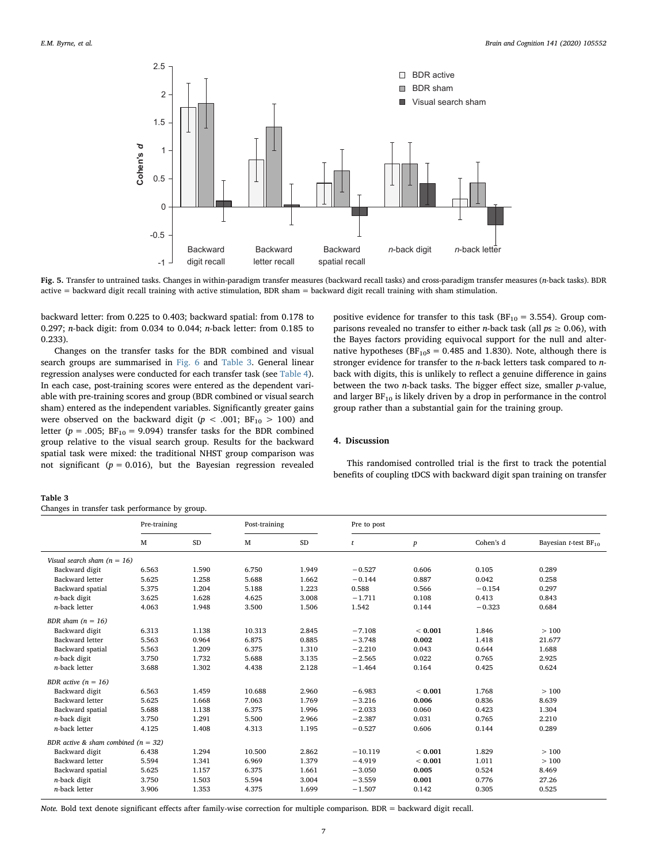<span id="page-6-0"></span>

Fig. 5. Transfer to untrained tasks. Changes in within-paradigm transfer measures (backward recall tasks) and cross-paradigm transfer measures (n-back tasks). BDR active = backward digit recall training with active stimulation, BDR sham = backward digit recall training with sham stimulation.

backward letter: from 0.225 to 0.403; backward spatial: from 0.178 to 0.297; n-back digit: from 0.034 to 0.044; n-back letter: from 0.185 to 0.233).

Changes on the transfer tasks for the BDR combined and visual search groups are summarised in [Fig. 6](#page-7-1) and [Table 3](#page-6-1). General linear regression analyses were conducted for each transfer task (see [Table 4](#page-7-0)). In each case, post-training scores were entered as the dependent variable with pre-training scores and group (BDR combined or visual search sham) entered as the independent variables. Significantly greater gains were observed on the backward digit ( $p < .001$ ; BF<sub>10</sub> > 100) and letter ( $p = .005$ ;  $BF_{10} = 9.094$ ) transfer tasks for the BDR combined group relative to the visual search group. Results for the backward spatial task were mixed: the traditional NHST group comparison was not significant ( $p = 0.016$ ), but the Bayesian regression revealed

positive evidence for transfer to this task ( $BF_{10} = 3.554$ ). Group comparisons revealed no transfer to either *n*-back task (all  $ps \ge 0.06$ ), with the Bayes factors providing equivocal support for the null and alternative hypotheses ( $BF_{10}$ s = 0.485 and 1.830). Note, although there is stronger evidence for transfer to the n-back letters task compared to nback with digits, this is unlikely to reflect a genuine difference in gains between the two n-back tasks. The bigger effect size, smaller p-value, and larger  $BF_{10}$  is likely driven by a drop in performance in the control group rather than a substantial gain for the training group.

## 4. Discussion

This randomised controlled trial is the first to track the potential benefits of coupling tDCS with backward digit span training on transfer

<span id="page-6-1"></span>

Changes in transfer task performance by group.

|                                       |       | Post-training<br>Pre-training |        | Pre to post |           |                  |           |                                   |
|---------------------------------------|-------|-------------------------------|--------|-------------|-----------|------------------|-----------|-----------------------------------|
|                                       | M     | <b>SD</b>                     | M      | <b>SD</b>   | t         | $\boldsymbol{p}$ | Cohen's d | Bayesian <i>t</i> -test $BF_{10}$ |
| Visual search sham $(n = 16)$         |       |                               |        |             |           |                  |           |                                   |
| Backward digit                        | 6.563 | 1.590                         | 6.750  | 1.949       | $-0.527$  | 0.606            | 0.105     | 0.289                             |
| <b>Backward</b> letter                | 5.625 | 1.258                         | 5.688  | 1.662       | $-0.144$  | 0.887            | 0.042     | 0.258                             |
| Backward spatial                      | 5.375 | 1.204                         | 5.188  | 1.223       | 0.588     | 0.566            | $-0.154$  | 0.297                             |
| $n$ -back digit                       | 3.625 | 1.628                         | 4.625  | 3.008       | $-1.711$  | 0.108            | 0.413     | 0.843                             |
| $n$ -back letter                      | 4.063 | 1.948                         | 3.500  | 1.506       | 1.542     | 0.144            | $-0.323$  | 0.684                             |
| BDR sham $(n = 16)$                   |       |                               |        |             |           |                  |           |                                   |
| Backward digit                        | 6.313 | 1.138                         | 10.313 | 2.845       | $-7.108$  | < 0.001          | 1.846     | >100                              |
| <b>Backward</b> letter                | 5.563 | 0.964                         | 6.875  | 0.885       | $-3.748$  | 0.002            | 1.418     | 21.677                            |
| Backward spatial                      | 5.563 | 1.209                         | 6.375  | 1.310       | $-2.210$  | 0.043            | 0.644     | 1.688                             |
| $n$ -back digit                       | 3.750 | 1.732                         | 5.688  | 3.135       | $-2.565$  | 0.022            | 0.765     | 2.925                             |
| $n$ -back letter                      | 3.688 | 1.302                         | 4.438  | 2.128       | $-1.464$  | 0.164            | 0.425     | 0.624                             |
| BDR active $(n = 16)$                 |       |                               |        |             |           |                  |           |                                   |
| Backward digit                        | 6.563 | 1.459                         | 10.688 | 2.960       | $-6.983$  | < 0.001          | 1.768     | >100                              |
| <b>Backward</b> letter                | 5.625 | 1.668                         | 7.063  | 1.769       | $-3.216$  | 0.006            | 0.836     | 8.639                             |
| Backward spatial                      | 5.688 | 1.138                         | 6.375  | 1.996       | $-2.033$  | 0.060            | 0.423     | 1.304                             |
| $n$ -back digit                       | 3.750 | 1.291                         | 5.500  | 2.966       | $-2.387$  | 0.031            | 0.765     | 2.210                             |
| $n$ -back letter                      | 4.125 | 1.408                         | 4.313  | 1.195       | $-0.527$  | 0.606            | 0.144     | 0.289                             |
| BDR active & sham combined $(n = 32)$ |       |                               |        |             |           |                  |           |                                   |
| Backward digit                        | 6.438 | 1.294                         | 10.500 | 2.862       | $-10.119$ | < 0.001          | 1.829     | >100                              |
| <b>Backward</b> letter                | 5.594 | 1.341                         | 6.969  | 1.379       | $-4.919$  | < 0.001          | 1.011     | >100                              |
| Backward spatial                      | 5.625 | 1.157                         | 6.375  | 1.661       | $-3.050$  | 0.005            | 0.524     | 8.469                             |
| $n$ -back digit                       | 3.750 | 1.503                         | 5.594  | 3.004       | $-3.559$  | 0.001            | 0.776     | 27.26                             |
| $n$ -back letter                      | 3.906 | 1.353                         | 4.375  | 1.699       | $-1.507$  | 0.142            | 0.305     | 0.525                             |

Note. Bold text denote significant effects after family-wise correction for multiple comparison. BDR = backward digit recall.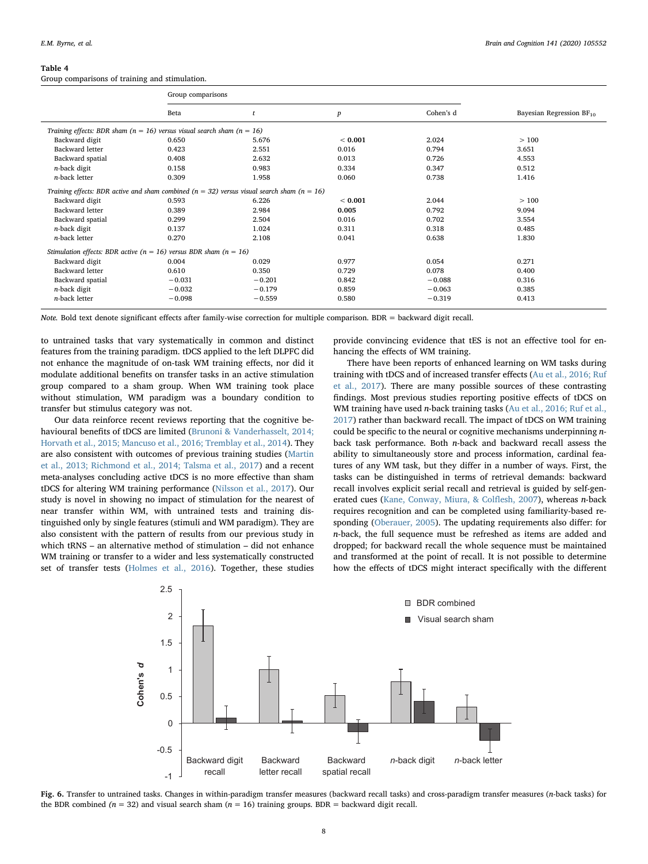#### <span id="page-7-0"></span>Table 4

Group comparisons of training and stimulation.

|                                                                                                    | Group comparisons |          |                  |           |                                      |  |  |  |
|----------------------------------------------------------------------------------------------------|-------------------|----------|------------------|-----------|--------------------------------------|--|--|--|
|                                                                                                    | Beta              | t        | $\boldsymbol{p}$ | Cohen's d | Bayesian Regression BF <sub>10</sub> |  |  |  |
| Training effects: BDR sham ( $n = 16$ ) versus visual search sham ( $n = 16$ )                     |                   |          |                  |           |                                      |  |  |  |
| Backward digit                                                                                     | 0.650             | 5.676    | < 0.001          | 2.024     | >100                                 |  |  |  |
| <b>Backward</b> letter                                                                             | 0.423             | 2.551    | 0.016            | 0.794     | 3.651                                |  |  |  |
| Backward spatial                                                                                   | 0.408             | 2.632    | 0.013            | 0.726     | 4.553                                |  |  |  |
| <i>n</i> -back digit                                                                               | 0.158             | 0.983    | 0.334            | 0.347     | 0.512                                |  |  |  |
| $n$ -back letter                                                                                   | 0.309             | 1.958    | 0.060            | 0.738     | 1.416                                |  |  |  |
| Training effects: BDR active and sham combined ( $n = 32$ ) versus visual search sham ( $n = 16$ ) |                   |          |                  |           |                                      |  |  |  |
| Backward digit                                                                                     | 0.593             | 6.226    | < 0.001          | 2.044     | >100                                 |  |  |  |
| Backward letter                                                                                    | 0.389             | 2.984    | 0.005            | 0.792     | 9.094                                |  |  |  |
| Backward spatial                                                                                   | 0.299             | 2.504    | 0.016            | 0.702     | 3.554                                |  |  |  |
| $n$ -back digit                                                                                    | 0.137             | 1.024    | 0.311            | 0.318     | 0.485                                |  |  |  |
| <i>n</i> -back letter                                                                              | 0.270             | 2.108    | 0.041            | 0.638     | 1.830                                |  |  |  |
| Stimulation effects: BDR active ( $n = 16$ ) versus BDR sham ( $n = 16$ )                          |                   |          |                  |           |                                      |  |  |  |
| Backward digit                                                                                     | 0.004             | 0.029    | 0.977            | 0.054     | 0.271                                |  |  |  |
| Backward letter                                                                                    | 0.610             | 0.350    | 0.729            | 0.078     | 0.400                                |  |  |  |
| Backward spatial                                                                                   | $-0.031$          | $-0.201$ | 0.842            | $-0.088$  | 0.316                                |  |  |  |
| <i>n</i> -back digit                                                                               | $-0.032$          | $-0.179$ | 0.859            | $-0.063$  | 0.385                                |  |  |  |
| $n$ -back letter                                                                                   | $-0.098$          | $-0.559$ | 0.580            | $-0.319$  | 0.413                                |  |  |  |

Note. Bold text denote significant effects after family-wise correction for multiple comparison. BDR = backward digit recall.

to untrained tasks that vary systematically in common and distinct features from the training paradigm. tDCS applied to the left DLPFC did not enhance the magnitude of on-task WM training effects, nor did it modulate additional benefits on transfer tasks in an active stimulation group compared to a sham group. When WM training took place without stimulation, WM paradigm was a boundary condition to transfer but stimulus category was not.

Our data reinforce recent reviews reporting that the cognitive behavioural benefits of tDCS are limited [\(Brunoni & Vanderhasselt, 2014;](#page-9-7) [Horvath et al., 2015; Mancuso et al., 2016; Tremblay et al., 2014\)](#page-9-7). They are also consistent with outcomes of previous training studies ([Martin](#page-9-10) [et al., 2013; Richmond et al., 2014; Talsma et al., 2017](#page-9-10)) and a recent meta-analyses concluding active tDCS is no more effective than sham tDCS for altering WM training performance [\(Nilsson et al., 2017](#page-9-20)). Our study is novel in showing no impact of stimulation for the nearest of near transfer within WM, with untrained tests and training distinguished only by single features (stimuli and WM paradigm). They are also consistent with the pattern of results from our previous study in which tRNS – an alternative method of stimulation – did not enhance WM training or transfer to a wider and less systematically constructed set of transfer tests [\(Holmes et al., 2016\)](#page-9-1). Together, these studies

provide convincing evidence that tES is not an effective tool for enhancing the effects of WM training.

There have been reports of enhanced learning on WM tasks during training with tDCS and of increased transfer effects ([Au et al., 2016; Ruf](#page-8-1) [et al., 2017](#page-8-1)). There are many possible sources of these contrasting findings. Most previous studies reporting positive effects of tDCS on WM training have used *n*-back training tasks ([Au et al., 2016; Ruf et al.,](#page-8-1) [2017\)](#page-8-1) rather than backward recall. The impact of tDCS on WM training could be specific to the neural or cognitive mechanisms underpinning nback task performance. Both n-back and backward recall assess the ability to simultaneously store and process information, cardinal features of any WM task, but they differ in a number of ways. First, the tasks can be distinguished in terms of retrieval demands: backward recall involves explicit serial recall and retrieval is guided by self-generated cues ([Kane, Conway, Miura, & Col](#page-9-21)flesh, 2007), whereas n-back requires recognition and can be completed using familiarity-based responding [\(Oberauer, 2005](#page-10-10)). The updating requirements also differ: for n-back, the full sequence must be refreshed as items are added and dropped; for backward recall the whole sequence must be maintained and transformed at the point of recall. It is not possible to determine how the effects of tDCS might interact specifically with the different

<span id="page-7-1"></span>

Fig. 6. Transfer to untrained tasks. Changes in within-paradigm transfer measures (backward recall tasks) and cross-paradigm transfer measures (n-back tasks) for the BDR combined ( $n = 32$ ) and visual search sham ( $n = 16$ ) training groups. BDR = backward digit recall.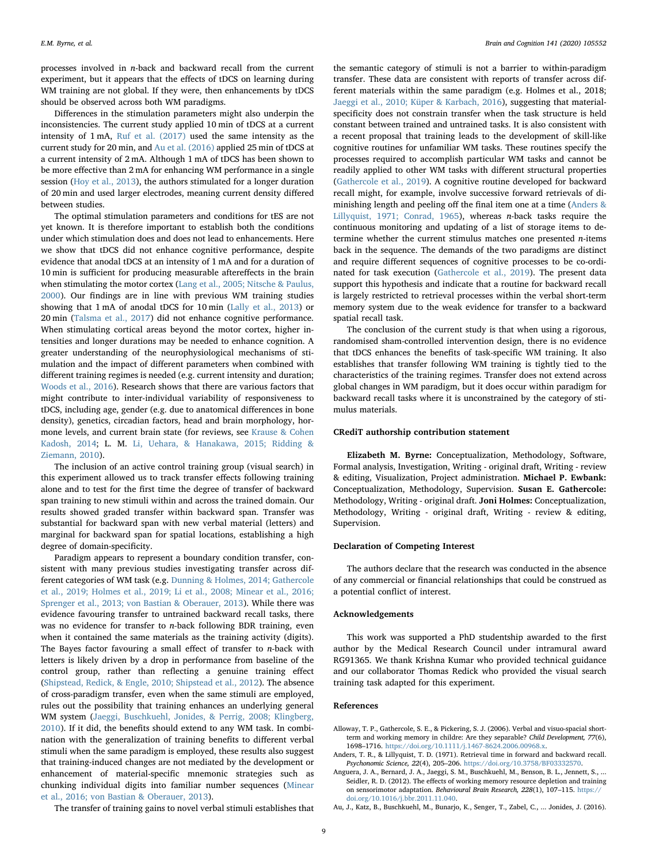processes involved in n-back and backward recall from the current experiment, but it appears that the effects of tDCS on learning during WM training are not global. If they were, then enhancements by tDCS should be observed across both WM paradigms.

Differences in the stimulation parameters might also underpin the inconsistencies. The current study applied 10 min of tDCS at a current intensity of 1 mA, [Ruf et al. \(2017\)](#page-10-2) used the same intensity as the current study for 20 min, and [Au et al. \(2016\)](#page-8-1) applied 25 min of tDCS at a current intensity of 2 mA. Although 1 mA of tDCS has been shown to be more effective than 2 mA for enhancing WM performance in a single session ([Hoy et al., 2013\)](#page-9-12), the authors stimulated for a longer duration of 20 min and used larger electrodes, meaning current density differed between studies.

The optimal stimulation parameters and conditions for tES are not yet known. It is therefore important to establish both the conditions under which stimulation does and does not lead to enhancements. Here we show that tDCS did not enhance cognitive performance, despite evidence that anodal tDCS at an intensity of 1 mA and for a duration of 10 min is sufficient for producing measurable aftereffects in the brain when stimulating the motor cortex [\(Lang et al., 2005; Nitsche & Paulus,](#page-9-22) [2000\)](#page-9-22). Our findings are in line with previous WM training studies showing that 1 mA of anodal tDCS for 10 min ([Lally et al., 2013\)](#page-9-23) or 20 min [\(Talsma et al., 2017](#page-10-4)) did not enhance cognitive performance. When stimulating cortical areas beyond the motor cortex, higher intensities and longer durations may be needed to enhance cognition. A greater understanding of the neurophysiological mechanisms of stimulation and the impact of different parameters when combined with different training regimes is needed (e.g. current intensity and duration; [Woods et al., 2016](#page-10-11)). Research shows that there are various factors that might contribute to inter-individual variability of responsiveness to tDCS, including age, gender (e.g. due to anatomical differences in bone density), genetics, circadian factors, head and brain morphology, hormone levels, and current brain state (for reviews, see [Krause & Cohen](#page-9-24) [Kadosh, 2014;](#page-9-24) L. M. [Li, Uehara, & Hanakawa, 2015; Ridding &](#page-9-25) [Ziemann, 2010](#page-9-25)).

The inclusion of an active control training group (visual search) in this experiment allowed us to track transfer effects following training alone and to test for the first time the degree of transfer of backward span training to new stimuli within and across the trained domain. Our results showed graded transfer within backward span. Transfer was substantial for backward span with new verbal material (letters) and marginal for backward span for spatial locations, establishing a high degree of domain-specificity.

Paradigm appears to represent a boundary condition transfer, consistent with many previous studies investigating transfer across different categories of WM task (e.g. [Dunning & Holmes, 2014; Gathercole](#page-9-26) [et al., 2019; Holmes et al., 2019; Li et al., 2008; Minear et al., 2016;](#page-9-26) [Sprenger et al., 2013; von Bastian & Oberauer, 2013\)](#page-9-26). While there was evidence favouring transfer to untrained backward recall tasks, there was no evidence for transfer to n-back following BDR training, even when it contained the same materials as the training activity (digits). The Bayes factor favouring a small effect of transfer to  $n$ -back with letters is likely driven by a drop in performance from baseline of the control group, rather than reflecting a genuine training effect ([Shipstead, Redick, & Engle, 2010; Shipstead et al., 2012\)](#page-10-12). The absence of cross-paradigm transfer, even when the same stimuli are employed, rules out the possibility that training enhances an underlying general WM system ([Jaeggi, Buschkuehl, Jonides, & Perrig, 2008; Klingberg,](#page-9-27) [2010\)](#page-9-27). If it did, the benefits should extend to any WM task. In combination with the generalization of training benefits to different verbal stimuli when the same paradigm is employed, these results also suggest that training-induced changes are not mediated by the development or enhancement of material-specific mnemonic strategies such as chunking individual digits into familiar number sequences ([Minear](#page-9-28) [et al., 2016; von Bastian & Oberauer, 2013](#page-9-28)).

The transfer of training gains to novel verbal stimuli establishes that

the semantic category of stimuli is not a barrier to within-paradigm transfer. These data are consistent with reports of transfer across different materials within the same paradigm (e.g. Holmes et al., 2018; [Jaeggi et al., 2010; Küper & Karbach, 2016](#page-9-29)), suggesting that materialspecificity does not constrain transfer when the task structure is held constant between trained and untrained tasks. It is also consistent with a recent proposal that training leads to the development of skill-like cognitive routines for unfamiliar WM tasks. These routines specify the processes required to accomplish particular WM tasks and cannot be readily applied to other WM tasks with different structural properties ([Gathercole et al., 2019\)](#page-9-30). A cognitive routine developed for backward recall might, for example, involve successive forward retrievals of diminishing length and peeling off the final item one at a time [\(Anders &](#page-8-3) [Lillyquist, 1971; Conrad, 1965](#page-8-3)), whereas n-back tasks require the continuous monitoring and updating of a list of storage items to determine whether the current stimulus matches one presented  $n$ -items back in the sequence. The demands of the two paradigms are distinct and require different sequences of cognitive processes to be co-ordinated for task execution [\(Gathercole et al., 2019](#page-9-30)). The present data support this hypothesis and indicate that a routine for backward recall is largely restricted to retrieval processes within the verbal short-term memory system due to the weak evidence for transfer to a backward spatial recall task.

The conclusion of the current study is that when using a rigorous, randomised sham-controlled intervention design, there is no evidence that tDCS enhances the benefits of task-specific WM training. It also establishes that transfer following WM training is tightly tied to the characteristics of the training regimes. Transfer does not extend across global changes in WM paradigm, but it does occur within paradigm for backward recall tasks where it is unconstrained by the category of stimulus materials.

## CRediT authorship contribution statement

Elizabeth M. Byrne: Conceptualization, Methodology, Software, Formal analysis, Investigation, Writing - original draft, Writing - review & editing, Visualization, Project administration. Michael P. Ewbank: Conceptualization, Methodology, Supervision. Susan E. Gathercole: Methodology, Writing - original draft. Joni Holmes: Conceptualization, Methodology, Writing - original draft, Writing - review & editing, Supervision.

### Declaration of Competing Interest

The authors declare that the research was conducted in the absence of any commercial or financial relationships that could be construed as a potential conflict of interest.

#### Acknowledgements

This work was supported a PhD studentship awarded to the first author by the Medical Research Council under intramural award RG91365. We thank Krishna Kumar who provided technical guidance and our collaborator Thomas Redick who provided the visual search training task adapted for this experiment.

### References

- <span id="page-8-2"></span>Alloway, T. P., Gathercole, S. E., & Pickering, S. J. (2006). Verbal and visuo-spacial shortterm and working memory in childre: Are they separable? Child Development, 77(6), 1698–1716. <https://doi.org/10.1111/j.1467-8624.2006.00968.x>.
- <span id="page-8-3"></span>Anders, T. R., & Lillyquist, T. D. (1971). Retrieval time in forward and backward recall. Psychonomic Science, 22(4), 205–206. <https://doi.org/10.3758/BF03332570>.
- <span id="page-8-0"></span>Anguera, J. A., Bernard, J. A., Jaeggi, S. M., Buschkuehl, M., Benson, B. L., Jennett, S., ... Seidler, R. D. (2012). The effects of working memory resource depletion and training on sensorimotor adaptation. Behavioural Brain Research, 228(1), 107–115. [https://](https://doi.org/10.1016/j.bbr.2011.11.040) [doi.org/10.1016/j.bbr.2011.11.040](https://doi.org/10.1016/j.bbr.2011.11.040).
- <span id="page-8-1"></span>Au, J., Katz, B., Buschkuehl, M., Bunarjo, K., Senger, T., Zabel, C., ... Jonides, J. (2016).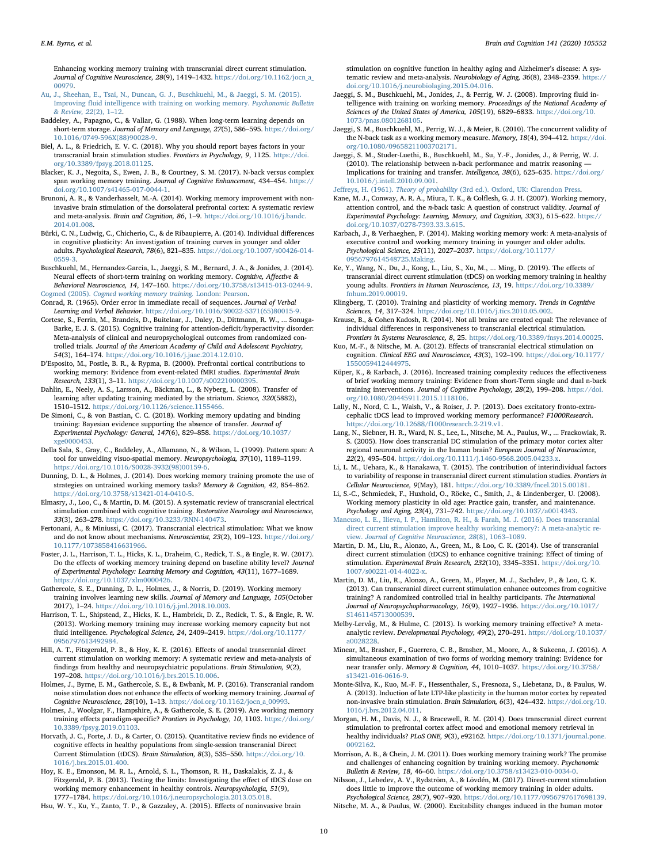Enhancing working memory training with transcranial direct current stimulation. Journal of Cognitive Neuroscience, 28(9), 1419–1432. [https://doi.org/10.1162/jocn\\_a\\_](https://doi.org/10.1162/jocn_a_00979) [00979.](https://doi.org/10.1162/jocn_a_00979)

- <span id="page-9-5"></span>[Au, J., Sheehan, E., Tsai, N., Duncan, G. J., Buschkuehl, M., & Jaeggi, S. M. \(2015\).](http://refhub.elsevier.com/S0278-2626(19)30419-1/h0025) Improving fl[uid intelligence with training on working memory.](http://refhub.elsevier.com/S0278-2626(19)30419-1/h0025) Psychonomic Bulletin [& Review, 22](http://refhub.elsevier.com/S0278-2626(19)30419-1/h0025)(2), 1–12.
- Baddeley, A., Papagno, C., & Vallar, G. (1988). When long-term learning depends on short-term storage. Journal of Memory and Language, 27(5), 586–595. [https://doi.org/](https://doi.org/10.1016/0749-596X(88)90028-9) [10.1016/0749-596X\(88\)90028-9.](https://doi.org/10.1016/0749-596X(88)90028-9)
- <span id="page-9-18"></span>Biel, A. L., & Friedrich, E. V. C. (2018). Why you should report bayes factors in your transcranial brain stimulation studies. Frontiers in Psychology, 9, 1125. [https://doi.](https://doi.org/10.3389/fpsyg.2018.01125) [org/10.3389/fpsyg.2018.01125](https://doi.org/10.3389/fpsyg.2018.01125).
- Blacker, K. J., Negoita, S., Ewen, J. B., & Courtney, S. M. (2017). N-back versus complex span working memory training. Journal of Cognitive Enhancement, 434-454. [https://](https://doi.org/10.1007/s41465-017-0044-1) [doi.org/10.1007/s41465-017-0044-1.](https://doi.org/10.1007/s41465-017-0044-1)
- <span id="page-9-7"></span>Brunoni, A. R., & Vanderhasselt, M.-A. (2014). Working memory improvement with noninvasive brain stimulation of the dorsolateral prefrontal cortex: A systematic review and meta-analysis. Brain and Cognition, 86, 1–9. [https://doi.org/10.1016/j.bandc.](https://doi.org/10.1016/j.bandc.2014.01.008) [2014.01.008](https://doi.org/10.1016/j.bandc.2014.01.008).
- Bürki, C. N., Ludwig, C., Chicherio, C., & de Ribaupierre, A. (2014). Individual differences in cognitive plasticity: An investigation of training curves in younger and older adults. Psychological Research, 78(6), 821–835. [https://doi.org/10.1007/s00426-014-](https://doi.org/10.1007/s00426-014-0559-3) [0559-3.](https://doi.org/10.1007/s00426-014-0559-3)
- Buschkuehl, M., Hernandez-Garcia, L., Jaeggi, S. M., Bernard, J. A., & Jonides, J. (2014). Neural effects of short-term training on working memory. Cognitive, Affective & Behavioral Neuroscience, 14, 147–160. [https://doi.org/10.3758/s13415-013-0244-9.](https://doi.org/10.3758/s13415-013-0244-9)

<span id="page-9-17"></span>Cogmed (2005). [Cogmed working memory training.](http://refhub.elsevier.com/S0278-2626(19)30419-1/h0060) London: Pearson. Conrad, R. (1965). Order error in immediate recall of sequences. Journal of Verbal

<span id="page-9-4"></span>Learning and Verbal Behavior. [https://doi.org/10.1016/S0022-5371\(65\)80015-9](https://doi.org/10.1016/S0022-5371(65)80015-9). Cortese, S., Ferrin, M., Brandeis, D., Buitelaar, J., Daley, D., Dittmann, R. W., ... Sonuga-

- Barke, E. J. S. (2015). Cognitive training for attention-deficit/hyperactivity disorder: Meta-analysis of clinical and neuropsychological outcomes from randomized controlled trials. Journal of the American Academy of Child and Adolescent Psychiatry, 54(3), 164–174. <https://doi.org/10.1016/j.jaac.2014.12.010>.
- <span id="page-9-14"></span>D'Esposito, M., Postle, B. R., & Rypma, B. (2000). Prefrontal cortical contributions to working memory: Evidence from event-related fMRI studies. Experimental Brain Research, 133(1), 3–11. [https://doi.org/10.1007/s002210000395.](https://doi.org/10.1007/s002210000395)
- <span id="page-9-16"></span>Dahlin, E., Neely, A. S., Larsson, A., Bäckman, L., & Nyberg, L. (2008). Transfer of learning after updating training mediated by the striatum. Science, 320(5882), 1510–1512. <https://doi.org/10.1126/science.1155466>.
- De Simoni, C., & von Bastian, C. C. (2018). Working memory updating and binding training: Bayesian evidence supporting the absence of transfer. Journal of Experimental Psychology: General, 147(6), 829–858. [https://doi.org/10.1037/](https://doi.org/10.1037/xge0000453) [xge0000453](https://doi.org/10.1037/xge0000453).
- Della Sala, S., Gray, C., Baddeley, A., Allamano, N., & Wilson, L. (1999). Pattern span: A tool for unwelding visuo-spatial memory. Neuropsychologia, 37(10), 1189–1199. [https://doi.org/10.1016/S0028-3932\(98\)00159-6.](https://doi.org/10.1016/S0028-3932(98)00159-6)
- <span id="page-9-26"></span>Dunning, D. L., & Holmes, J. (2014). Does working memory training promote the use of strategies on untrained working memory tasks? Memory & Cognition, 42, 854–862. [https://doi.org/10.3758/s13421-014-0410-5.](https://doi.org/10.3758/s13421-014-0410-5)
- <span id="page-9-0"></span>Elmasry, J., Loo, C., & Martin, D. M. (2015). A systematic review of transcranial electrical stimulation combined with cognitive training. Restorative Neurology and Neuroscience, 33(3), 263–278. <https://doi.org/10.3233/RNN-140473>.
- <span id="page-9-2"></span>Fertonani, A., & Miniussi, C. (2017). Transcranial electrical stimulation: What we know and do not know about mechanisms. Neuroscientist, 23(2), 109–123. [https://doi.org/](https://doi.org/10.1177/1073858416631966) [10.1177/1073858416631966](https://doi.org/10.1177/1073858416631966).
- <span id="page-9-11"></span>Foster, J. L., Harrison, T. L., Hicks, K. L., Draheim, C., Redick, T. S., & Engle, R. W. (2017). Do the effects of working memory training depend on baseline ability level? Journal of Experimental Psychology: Learning Memory and Cognition, 43(11), 1677–1689. <https://doi.org/10.1037/xlm0000426>.

<span id="page-9-30"></span>Gathercole, S. E., Dunning, D. L., Holmes, J., & Norris, D. (2019). Working memory training involves learning new skills. Journal of Memory and Language, 105(October 2017), 1–24. <https://doi.org/10.1016/j.jml.2018.10.003>.

- Harrison, T. L., Shipstead, Z., Hicks, K. L., Hambrick, D. Z., Redick, T. S., & Engle, R. W. (2013). Working memory training may increase working memory capacity but not fluid intelligence. Psychological Science, 24, 2409-2419. [https://doi.org/10.1177/](https://doi.org/10.1177/0956797613492984) [0956797613492984.](https://doi.org/10.1177/0956797613492984)
- <span id="page-9-8"></span>Hill, A. T., Fitzgerald, P. B., & Hoy, K. E. (2016). Effects of anodal transcranial direct current stimulation on working memory: A systematic review and meta-analysis of findings from healthy and neuropsychiatric populations. Brain Stimulation, 9(2), 197–208. [https://doi.org/10.1016/j.brs.2015.10.006.](https://doi.org/10.1016/j.brs.2015.10.006)
- <span id="page-9-1"></span>Holmes, J., Byrne, E. M., Gathercole, S. E., & Ewbank, M. P. (2016). Transcranial random noise stimulation does not enhance the effects of working memory training. Journal of Cognitive Neuroscience, 28(10), 1–13. [https://doi.org/10.1162/jocn\\_a\\_00993.](https://doi.org/10.1162/jocn_a_00993)
- <span id="page-9-15"></span>Holmes, J., Woolgar, F., Hampshire, A., & Gathercole, S. E. (2019). Are working memory training effects paradigm-specific? Frontiers in Psychology, 10, 1103. [https://doi.org/](https://doi.org/10.3389/fpsyg.2019.01103) [10.3389/fpsyg.2019.01103.](https://doi.org/10.3389/fpsyg.2019.01103)
- Horvath, J. C., Forte, J. D., & Carter, O. (2015). Quantitative review finds no evidence of cognitive effects in healthy populations from single-session transcranial Direct Current Stimulation (tDCS). Brain Stimulation, 8(3), 535–550. [https://doi.org/10.](https://doi.org/10.1016/j.brs.2015.01.400) [1016/j.brs.2015.01.400.](https://doi.org/10.1016/j.brs.2015.01.400)
- <span id="page-9-12"></span>Hoy, K. E., Emonson, M. R. L., Arnold, S. L., Thomson, R. H., Daskalakis, Z. J., & Fitzgerald, P. B. (2013). Testing the limits: Investigating the effect of tDCS dose on working memory enhancement in healthy controls. Neuropsychologia, 51(9), 1777–1784. <https://doi.org/10.1016/j.neuropsychologia.2013.05.018>.

Hsu, W. Y., Ku, Y., Zanto, T. P., & Gazzaley, A. (2015). Effects of noninvasive brain

stimulation on cognitive function in healthy aging and Alzheimer's disease: A systematic review and meta-analysis. Neurobiology of Aging, 36(8), 2348–2359. [https://](https://doi.org/10.1016/j.neurobiolaging.2015.04.016) [doi.org/10.1016/j.neurobiolaging.2015.04.016](https://doi.org/10.1016/j.neurobiolaging.2015.04.016).

- <span id="page-9-27"></span>Jaeggi, S. M., Buschkuehl, M., Jonides, J., & Perrig, W. J. (2008). Improving fluid intelligence with training on working memory. Proceedings of the National Academy of Sciences of the United States of America, 105(19), 6829–6833. [https://doi.org/10.](https://doi.org/10.1073/pnas.0801268105) [1073/pnas.0801268105.](https://doi.org/10.1073/pnas.0801268105)
- Jaeggi, S. M., Buschkuehl, M., Perrig, W. J., & Meier, B. (2010). The concurrent validity of the N-back task as a working memory measure. Memory, 18(4), 394–412. [https://doi.](https://doi.org/10.1080/09658211003702171) [org/10.1080/09658211003702171](https://doi.org/10.1080/09658211003702171).
- <span id="page-9-29"></span>Jaeggi, S. M., Studer-Luethi, B., Buschkuehl, M., Su, Y.-F., Jonides, J., & Perrig, W. J. (2010). The relationship between n-back performance and matrix reasoning Implications for training and transfer. Intelligence, 38(6), 625–635. [https://doi.org/](https://doi.org/10.1016/j.intell.2010.09.001) [10.1016/j.intell.2010.09.001.](https://doi.org/10.1016/j.intell.2010.09.001)

<span id="page-9-19"></span>Jeffreys, H. (1961). Theory of probability [\(3rd ed.\). Oxford, UK: Clarendon Press](http://refhub.elsevier.com/S0278-2626(19)30419-1/h0170).

- <span id="page-9-21"></span>Kane, M. J., Conway, A. R. A., Miura, T. K., & Colflesh, G. J. H. (2007). Working memory, attention control, and the n-back task: A question of construct validity. Journal of Experimental Psychology: Learning, Memory, and Cognition, 33(3), 615–622. [https://](https://doi.org/10.1037/0278-7393.33.3.615) [doi.org/10.1037/0278-7393.33.3.615.](https://doi.org/10.1037/0278-7393.33.3.615)
- Karbach, J., & Verhaeghen, P. (2014). Making working memory work: A meta-analysis of executive control and working memory training in younger and older adults. Psychological Science, 25(11), 2027–2037. [https://doi.org/10.1177/](https://doi.org/10.1177/0956797614548725.Making) [0956797614548725.Making.](https://doi.org/10.1177/0956797614548725.Making)
- Ke, Y., Wang, N., Du, J., Kong, L., Liu, S., Xu, M., ... Ming, D. (2019). The effects of transcranial direct current stimulation (tDCS) on working memory training in healthy young adults. Frontiers in Human Neuroscience, 13, 19. [https://doi.org/10.3389/](https://doi.org/10.3389/fnhum.2019.00019) [fnhum.2019.00019.](https://doi.org/10.3389/fnhum.2019.00019)
- Klingberg, T. (2010). Training and plasticity of working memory. Trends in Cognitive Sciences, 14, 317-324. [https://doi.org/10.1016/j.tics.2010.05.002.](https://doi.org/10.1016/j.tics.2010.05.002)
- <span id="page-9-24"></span>Krause, B., & Cohen Kadosh, R. (2014). Not all brains are created equal: The relevance of individual differences in responsiveness to transcranial electrical stimulation. Frontiers in Systems Neuroscience, 8, 25. <https://doi.org/10.3389/fnsys.2014.00025>.
- <span id="page-9-3"></span>Kuo, M.-F., & Nitsche, M. A. (2012). Effects of transcranial electrical stimulation on cognition. Clinical EEG and Neuroscience, 43(3), 192–199. [https://doi.org/10.1177/](https://doi.org/10.1177/1550059412444975) [1550059412444975.](https://doi.org/10.1177/1550059412444975)
- Küper, K., & Karbach, J. (2016). Increased training complexity reduces the effectiveness of brief working memory training: Evidence from short-Term single and dual n-back training interventions. Journal of Cognitive Psychology, 28(2), 199–208. [https://doi.](https://doi.org/10.1080/20445911.2015.1118106) [org/10.1080/20445911.2015.1118106](https://doi.org/10.1080/20445911.2015.1118106).
- <span id="page-9-23"></span>Lally, N., Nord, C. L., Walsh, V., & Roiser, J. P. (2013). Does excitatory fronto-extracephalic tDCS lead to improved working memory performance? F1000Research. [https://doi.org/10.12688/f1000research.2-219.v1.](https://doi.org/10.12688/f1000research.2-219.v1)
- <span id="page-9-22"></span>Lang, N., Siebner, H. R., Ward, N. S., Lee, L., Nitsche, M. A., Paulus, W., ... Frackowiak, R. S. (2005). How does transcranial DC stimulation of the primary motor cortex alter regional neuronal activity in the human brain? European Journal of Neuroscience, 22(2), 495–504. [https://doi.org/10.1111/j.1460-9568.2005.04233.x.](https://doi.org/10.1111/j.1460-9568.2005.04233.x)
- <span id="page-9-25"></span>Li, L. M., Uehara, K., & Hanakawa, T. (2015). The contribution of interindividual factors to variability of response in transcranial direct current stimulation studies. Frontiers in Cellular Neuroscience, 9(May), 181. [https://doi.org/10.3389/fncel.2015.00181.](https://doi.org/10.3389/fncel.2015.00181)
- Li, S.-C., Schmiedek, F., Huxhold, O., Röcke, C., Smith, J., & Lindenberger, U. (2008). Working memory plasticity in old age: Practice gain, transfer, and maintenance. Psychology and Aging, 23(4), 731–742. <https://doi.org/10.1037/a0014343>.
- <span id="page-9-9"></span>[Mancuso, L. E., Ilieva, I. P., Hamilton, R. H., & Farah, M. J. \(2016\). Does transcranial](http://refhub.elsevier.com/S0278-2626(19)30419-1/h0230) [direct current stimulation improve healthy working memory?: A meta-analytic re](http://refhub.elsevier.com/S0278-2626(19)30419-1/h0230)view. [Journal of Cognitive Neuroscience, 28](http://refhub.elsevier.com/S0278-2626(19)30419-1/h0230)(8), 1063–1089.
- Martin, D. M., Liu, R., Alonzo, A., Green, M., & Loo, C. K. (2014). Use of transcranial direct current stimulation (tDCS) to enhance cognitive training: Effect of timing of stimulation. Experimental Brain Research, 232(10), 3345–3351. [https://doi.org/10.](https://doi.org/10.1007/s00221-014-4022-x) [1007/s00221-014-4022-x](https://doi.org/10.1007/s00221-014-4022-x).
- <span id="page-9-10"></span>Martin, D. M., Liu, R., Alonzo, A., Green, M., Player, M. J., Sachdev, P., & Loo, C. K. (2013). Can transcranial direct current stimulation enhance outcomes from cognitive training? A randomized controlled trial in healthy participants. The International Journal of Neuropsychopharmacology, 16(9), 1927–1936. [https://doi.org/10.1017/](https://doi.org/10.1017/S1461145713000539) [S1461145713000539](https://doi.org/10.1017/S1461145713000539).
- Melby-Lervåg, M., & Hulme, C. (2013). Is working memory training effective? A metaanalytic review. Developmental Psychology, 49(2), 270–291. [https://doi.org/10.1037/](https://doi.org/10.1037/a0028228) [a0028228.](https://doi.org/10.1037/a0028228)
- <span id="page-9-28"></span>Minear, M., Brasher, F., Guerrero, C. B., Brasher, M., Moore, A., & Sukeena, J. (2016). A simultaneous examination of two forms of working memory training: Evidence for near transfer only. Memory & Cognition, 44, 1010–1037. [https://doi.org/10.3758/](https://doi.org/10.3758/s13421-016-0616-9) [s13421-016-0616-9.](https://doi.org/10.3758/s13421-016-0616-9)
- <span id="page-9-13"></span>Monte-Silva, K., Kuo, M.-F. F., Hessenthaler, S., Fresnoza, S., Liebetanz, D., & Paulus, W. A. (2013). Induction of late LTP-like plasticity in the human motor cortex by repeated non-invasive brain stimulation. Brain Stimulation, 6(3), 424–432. [https://doi.org/10.](https://doi.org/10.1016/j.brs.2012.04.011) [1016/j.brs.2012.04.011.](https://doi.org/10.1016/j.brs.2012.04.011)
- Morgan, H. M., Davis, N. J., & Bracewell, R. M. (2014). Does transcranial direct current stimulation to prefrontal cortex affect mood and emotional memory retrieval in healthy individuals? PLoS ONE, 9(3), e92162. [https://doi.org/10.1371/journal.pone.](https://doi.org/10.1371/journal.pone.0092162) [0092162.](https://doi.org/10.1371/journal.pone.0092162)
- Morrison, A. B., & Chein, J. M. (2011). Does working memory training work? The promise and challenges of enhancing cognition by training working memory. Psychonomic Bulletin & Review, 18, 46–60. [https://doi.org/10.3758/s13423-010-0034-0.](https://doi.org/10.3758/s13423-010-0034-0)
- <span id="page-9-20"></span>Nilsson, J., Lebedev, A. V., Rydström, A., & Lövdén, M. (2017). Direct-current stimulation does little to improve the outcome of working memory training in older adults. Psychological Science, 28(7), 907–920. [https://doi.org/10.1177/0956797617698139.](https://doi.org/10.1177/0956797617698139)
- <span id="page-9-6"></span>Nitsche, M. A., & Paulus, W. (2000). Excitability changes induced in the human motor